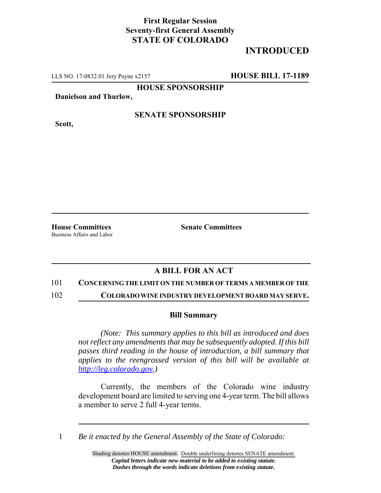## **First Regular Session Seventy-first General Assembly STATE OF COLORADO**

# **INTRODUCED**

LLS NO. 17-0832.01 Jery Payne x2157 **HOUSE BILL 17-1189**

**HOUSE SPONSORSHIP**

**Danielson and Thurlow,**

**Scott,**

### **SENATE SPONSORSHIP**

Business Affairs and Labor

**House Committees Senate Committees** 

### **A BILL FOR AN ACT**

#### 101 **CONCERNING THE LIMIT ON THE NUMBER OF TERMS A MEMBER OF THE**

102 **COLORADO WINE INDUSTRY DEVELOPMENT BOARD MAY SERVE.**

#### **Bill Summary**

*(Note: This summary applies to this bill as introduced and does not reflect any amendments that may be subsequently adopted. If this bill passes third reading in the house of introduction, a bill summary that applies to the reengrossed version of this bill will be available at http://leg.colorado.gov.)*

Currently, the members of the Colorado wine industry development board are limited to serving one 4-year term. The bill allows a member to serve 2 full 4-year terms.

1 *Be it enacted by the General Assembly of the State of Colorado:*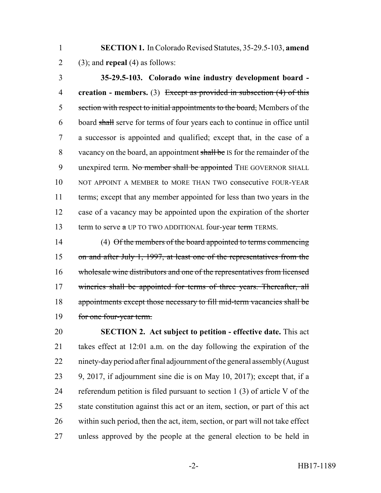**SECTION 1.** In Colorado Revised Statutes, 35-29.5-103, **amend** 2 (3); and **repeal** (4) as follows:

 **35-29.5-103. Colorado wine industry development board - creation - members.** (3) Except as provided in subsection (4) of this 5 section with respect to initial appointments to the board, Members of the board shall serve for terms of four years each to continue in office until a successor is appointed and qualified; except that, in the case of a 8 vacancy on the board, an appointment shall be IS for the remainder of the 9 unexpired term. No member shall be appointed THE GOVERNOR SHALL NOT APPOINT A MEMBER to MORE THAN TWO consecutive FOUR-YEAR terms; except that any member appointed for less than two years in the case of a vacancy may be appointed upon the expiration of the shorter 13 term to serve a UP TO TWO ADDITIONAL four-year term TERMS.

 (4) Of the members of the board appointed to terms commencing 15 on and after July 1, 1997, at least one of the representatives from the wholesale wine distributors and one of the representatives from licensed 17 wineries shall be appointed for terms of three years. Thereafter, all appointments except those necessary to fill mid-term vacancies shall be for one four-year term.

 **SECTION 2. Act subject to petition - effective date.** This act takes effect at 12:01 a.m. on the day following the expiration of the ninety-day period after final adjournment of the general assembly (August 9, 2017, if adjournment sine die is on May 10, 2017); except that, if a referendum petition is filed pursuant to section 1 (3) of article V of the state constitution against this act or an item, section, or part of this act within such period, then the act, item, section, or part will not take effect unless approved by the people at the general election to be held in